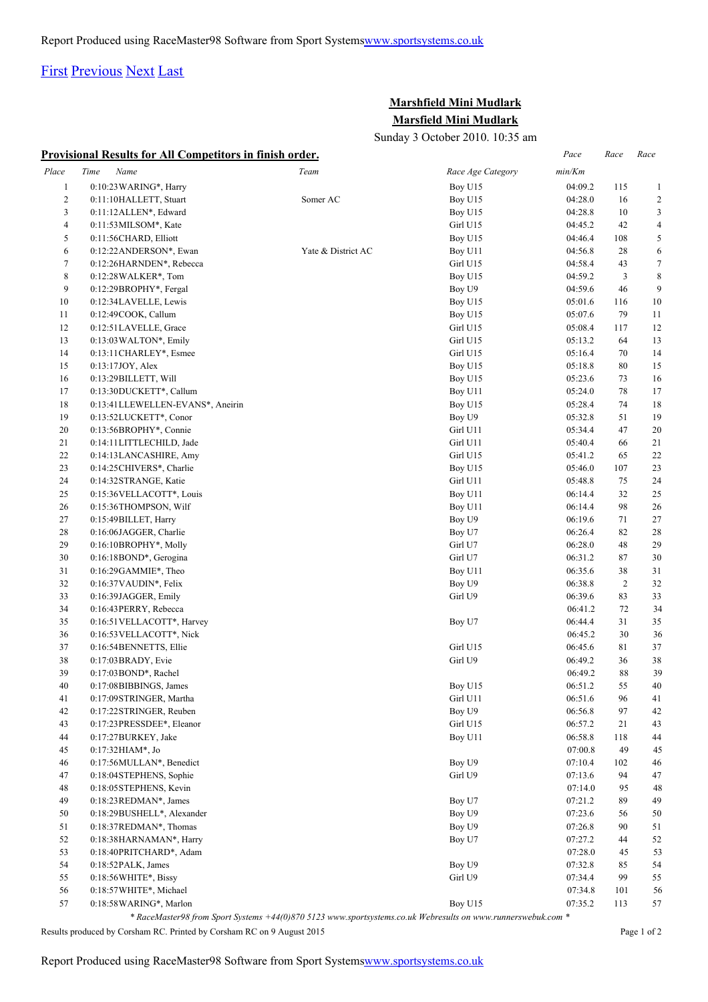## [First](http://www.corshamrunningclub.co.uk/Mudlark/Results/2010/Mini Mudlark Resilts.html#) [Previous](http://www.corshamrunningclub.co.uk/Mudlark/Results/2010/Mini Mudlark Resilts.html#) [Next](http://www.corshamrunningclub.co.uk/Mudlark/Results/2010/Mini Mudlark ResiltsPage2.html) [Last](http://www.corshamrunningclub.co.uk/Mudlark/Results/2010/Mini Mudlark ResiltsPage2.html)

## **Marshfield Mini Mudlark Marsfield Mini Mudlark**

Sunday 3 October 2010. 10:35 am

|                | <b>Provisional Results for All Competitors in finish order.</b> |                    |                   | Pace    | Race           | Race             |
|----------------|-----------------------------------------------------------------|--------------------|-------------------|---------|----------------|------------------|
| Place          | Time<br>Name                                                    | Team               | Race Age Category | min/Km  |                |                  |
| $\mathbf{1}$   | 0:10:23 WARING*, Harry                                          |                    | Boy U15           | 04:09.2 | 115            | $\mathbf{1}$     |
| $\overline{c}$ | 0:11:10HALLETT, Stuart                                          | Somer AC           | Boy U15           | 04:28.0 | 16             | $\overline{2}$   |
| 3              | $0:11:12$ ALLEN*, Edward                                        |                    | Boy U15           | 04:28.8 | 10             | $\mathfrak{Z}$   |
| 4              | $0:11:53$ MILSOM*, Kate                                         |                    | Girl U15          | 04:45.2 | 42             | $\overline{4}$   |
| 5              | 0:11:56CHARD, Elliott                                           |                    | Boy U15           | 04:46.4 | 108            | 5                |
| 6              | 0:12:22 ANDERSON*, Ewan                                         | Yate & District AC | Boy U11           | 04:56.8 | 28             | 6                |
| $\tau$         | 0:12:26HARNDEN*, Rebecca                                        |                    | Girl U15          | 04:58.4 | 43             | $\boldsymbol{7}$ |
| 8              | $0:12:28$ WALKER $*$ , Tom                                      |                    | Boy U15           | 04:59.2 | 3              | $\,$ 8 $\,$      |
| 9              | $0:12:29BROPHY^*$ , Fergal                                      |                    | Boy U9            | 04:59.6 | 46             | 9                |
| 10             | 0:12:34LAVELLE, Lewis                                           |                    | Boy U15           | 05:01.6 | 116            | 10               |
| 11             | 0:12:49COOK, Callum                                             |                    | Boy U15           | 05:07.6 | 79             | 11               |
| 12             | 0:12:51LAVELLE, Grace                                           |                    | Girl U15          | 05:08.4 | 117            | 12               |
| 13             | $0:13:03$ WALTON*, Emily                                        |                    | Girl U15          | 05:13.2 | 64             | 13               |
| 14             | 0:13:11 CHARLEY*, Esmee                                         |                    | Girl U15          | 05:16.4 | 70             | 14               |
| 15             | 0:13:17JOY, Alex                                                |                    | Boy U15           | 05:18.8 | 80             | 15               |
| 16             | 0:13:29BILLETT, Will                                            |                    | Boy U15           | 05:23.6 | 73             | 16               |
| 17             | 0:13:30DUCKETT*, Callum                                         |                    | Boy U11           | 05:24.0 | 78             | 17               |
| 18             | 0:13:41LLEWELLEN-EVANS*, Aneirin                                |                    | Boy U15           | 05:28.4 | 74             | 18               |
| 19             | 0:13:52LUCKETT*, Conor                                          |                    | Boy U9            | 05:32.8 | 51             | 19               |
| 20             | 0:13:56BROPHY*, Connie                                          |                    | Girl U11          | 05:34.4 | 47             | 20               |
| 21             | 0:14:11LITTLECHILD, Jade                                        |                    | Girl U11          | 05:40.4 | 66             | 21               |
| 22             | 0:14:13LANCASHIRE, Amy                                          |                    | Girl U15          | 05:41.2 | 65             | 22               |
| 23             | 0:14:25CHIVERS*, Charlie                                        |                    | Boy U15           | 05:46.0 | 107            | 23               |
| 24             | 0:14:32STRANGE, Katie                                           |                    | Girl U11          | 05:48.8 | 75             | 24               |
| 25             | 0:15:36 VELLACOTT*, Louis                                       |                    | Boy U11           | 06:14.4 | 32             | $25\,$           |
| 26             | 0:15:36THOMPSON, Wilf                                           |                    | Boy U11           | 06:14.4 | 98             | 26               |
| 27             | 0:15:49BILLET, Harry                                            |                    | Boy U9            | 06:19.6 | 71             | 27               |
| 28             | 0:16:06JAGGER, Charlie                                          |                    | Boy U7            | 06:26.4 | 82             | 28               |
| 29             | 0:16:10BROPHY*, Molly                                           |                    | Girl U7           | 06:28.0 | 48             | 29               |
| 30             | 0:16:18BOND*, Gerogina                                          |                    | Girl U7           | 06:31.2 | 87             | 30               |
| 31             | 0:16:29GAMMIE*, Theo                                            |                    | Boy U11           | 06:35.6 | $38\,$         | 31               |
| 32             | $0:16:37$ VAUDIN*, Felix                                        |                    | Boy U9            | 06:38.8 | $\overline{c}$ | 32               |
| 33             | 0:16:39JAGGER, Emily                                            |                    | Girl U9           | 06:39.6 | 83             | 33               |
| 34             | 0:16:43 PERRY, Rebecca                                          |                    |                   | 06:41.2 | 72             | 34               |
| 35             | 0:16:51 VELLACOTT*, Harvey                                      |                    | Boy U7            | 06:44.4 | 31             | 35               |
| 36             | 0:16:53 VELLACOTT*, Nick                                        |                    |                   | 06:45.2 | 30             | 36               |
| 37             | 0:16:54BENNETTS, Ellie                                          |                    | Girl U15          | 06:45.6 | 81             | 37               |
| 38             | 0:17:03BRADY, Evie                                              |                    | Girl U9           | 06:49.2 | 36             | 38               |
| 39             | $0:17:03 BOND*$ , Rachel                                        |                    |                   | 06:49.2 | 88             | 39               |
| $40\,$         | 0:17:08BIBBINGS, James                                          |                    | Boy U15           | 06:51.2 | 55             | 40               |
| 41             | 0:17:09STRINGER, Martha                                         |                    | Girl U11          | 06:51.6 | 96             | 41               |
| 42             | 0:17:22STRINGER, Reuben                                         |                    | Boy U9            | 06:56.8 | 97             | 42               |
| 43             | 0:17:23PRESSDEE*, Eleanor                                       |                    | Girl U15          | 06:57.2 | 21             | 43               |
| 44             | 0:17:27BURKEY, Jake                                             |                    | Boy U11           | 06:58.8 | 118            | 44               |
| 45             | $0:17:32HIAM^*$ , Jo                                            |                    |                   | 07:00.8 | 49             | 45               |
| 46             | 0:17:56MULLAN*, Benedict                                        |                    | Boy U9            | 07:10.4 | 102            | 46               |
| 47             | 0:18:04STEPHENS, Sophie                                         |                    | Girl U9           | 07:13.6 | 94             | 47               |
| 48             | 0:18:05STEPHENS, Kevin                                          |                    |                   | 07:14.0 | 95             | 48               |
| 49             | 0:18:23REDMAN*, James                                           |                    | Boy U7            | 07:21.2 | 89             | 49               |
| 50             | 0:18:29BUSHELL*, Alexander                                      |                    | Boy U9            | 07:23.6 | 56             | 50               |
| 51             | 0:18:37REDMAN*, Thomas                                          |                    | Boy U9            | 07:26.8 | 90             | 51               |
| 52             | 0:18:38HARNAMAN*, Harry                                         |                    | Boy U7            | 07:27.2 | 44             | 52               |
| 53             | 0:18:40PRITCHARD*, Adam                                         |                    |                   | 07:28.0 | 45             | 53               |
| 54             | 0:18:52PALK, James                                              |                    | Boy U9            | 07:32.8 | 85             | 54               |
| 55             | 0:18:56WHITE*, Bissy                                            |                    | Girl U9           | 07:34.4 | 99             | 55               |
| 56             | 0:18:57 WHITE*, Michael                                         |                    |                   | 07:34.8 | 101            | 56               |
| 57             | 0:18:58 WARING*, Marlon                                         |                    | Boy U15           | 07:35.2 | 113            | 57               |
|                |                                                                 |                    |                   |         |                |                  |

*\* RaceMaster98 from Sport Systems +44(0)870 5123 www.sportsystems.co.uk Webresults on www.runnerswebuk.com \**

Results produced by Corsham RC. Printed by Corsham RC on 9 August 2015 Page 1 of 2